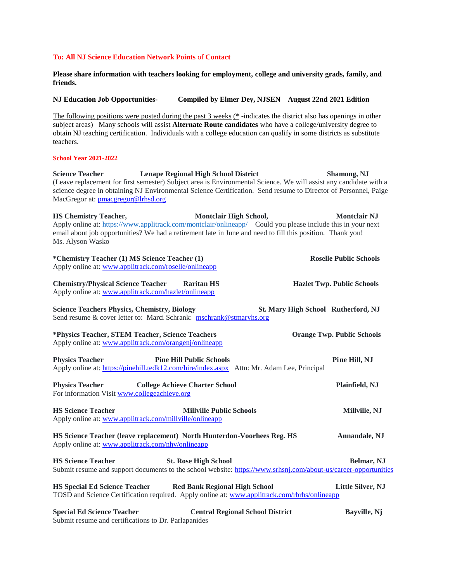# **To: All NJ Science Education Network Points** of **Contact**

**Please share information with teachers looking for employment, college and university grads, family, and friends.** 

**NJ Education Job Opportunities- Compiled by Elmer Dey, NJSEN August 22nd 2021 Edition**

The following positions were posted during the past 3 weeks (\* -indicates the district also has openings in other subject areas) Many schools will assist **Alternate Route candidates** who have a college/university degree to obtain NJ teaching certification. Individuals with a college education can qualify in some districts as substitute teachers.

## **School Year 2021-2022**

**Science Teacher Lenape Regional High School District Shamong, NJ** (Leave replacement for first semester) Subject area is Environmental Science. We will assist any candidate with a science degree in obtaining NJ Environmental Science Certification. Send resume to Director of Personnel, Paige MacGregor at: [pmacgregor@lrhsd.org](mailto:pmacgregor@lrhsd.org)

**HS Chemistry Teacher, Montclair High School, Montclair NJ**  Apply online at: <https://www.applitrack.com/montclair/onlineapp/> Could you please include this in your next email about job opportunities? We had a retirement late in June and need to fill this position.Thank you! Ms. Alyson Wasko **\*Chemistry Teacher (1) MS Science Teacher (1) Roselle Public Schools**

|                                                                                                                                                             | *Chemistry Teacher (1) MS Science Teacher (1)<br>Apply online at: www.applitrack.com/roselle/onlineapp |                                            | Roselle Public Schools            |
|-------------------------------------------------------------------------------------------------------------------------------------------------------------|--------------------------------------------------------------------------------------------------------|--------------------------------------------|-----------------------------------|
| <b>Chemistry/Physical Science Teacher Raritan HS</b><br>Apply online at: www.applitrack.com/hazlet/onlineapp                                                |                                                                                                        |                                            | <b>Hazlet Twp. Public Schools</b> |
| <b>Science Teachers Physics, Chemistry, Biology</b><br>Send resume & cover letter to: Marci Schrank: mschrank@stmaryhs.org                                  |                                                                                                        | <b>St. Mary High School Rutherford, NJ</b> |                                   |
| *Physics Teacher, STEM Teacher, Science Teachers<br>Apply online at: www.applitrack.com/orangenj/onlineapp                                                  |                                                                                                        |                                            | <b>Orange Twp. Public Schools</b> |
| <b>Physics Teacher</b><br>Apply online at: https://pinehill.tedk12.com/hire/index.aspx Attn: Mr. Adam Lee, Principal                                        | <b>Pine Hill Public Schools</b>                                                                        |                                            | Pine Hill, NJ                     |
| <b>Physics Teacher</b><br>For information Visit www.collegeachieve.org                                                                                      | <b>College Achieve Charter School</b>                                                                  |                                            | Plainfield, NJ                    |
| <b>HS Science Teacher</b><br>Apply online at: www.applitrack.com/millville/onlineapp                                                                        | <b>Millville Public Schools</b>                                                                        |                                            | Millville, NJ                     |
| HS Science Teacher (leave replacement) North Hunterdon-Voorhees Reg. HS<br>Apply online at: www.applitrack.com/nhv/onlineapp                                |                                                                                                        |                                            | Annandale, NJ                     |
| <b>HS Science Teacher</b><br>Submit resume and support documents to the school website: https://www.srhsnj.com/about-us/career-opportunities                | <b>St. Rose High School</b>                                                                            |                                            | Belmar, NJ                        |
| HS Special Ed Science Teacher Red Bank Regional High School<br>TOSD and Science Certification required. Apply online at: www.applitrack.com/rbrhs/onlineapp |                                                                                                        |                                            | Little Silver, NJ                 |
| <b>Special Ed Science Teacher</b>                                                                                                                           |                                                                                                        | <b>Central Regional School District</b>    | Bayville, Nj                      |

Submit resume and certifications to Dr. Parlapanides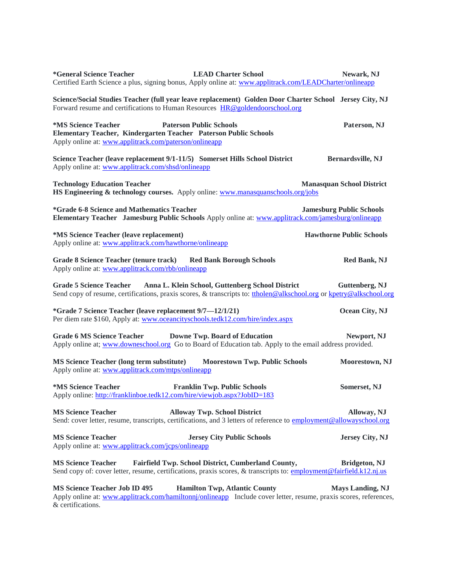| <b>LEAD Charter School</b><br><i>*General Science Teacher</i><br>Certified Earth Science a plus, signing bonus, Apply online at: www.applitrack.com/LEADCharter/onlineapp                                              | Newark, NJ                       |
|------------------------------------------------------------------------------------------------------------------------------------------------------------------------------------------------------------------------|----------------------------------|
| Science/Social Studies Teacher (full year leave replacement) Golden Door Charter School Jersey City, NJ<br>Forward resume and certifications to Human Resources HR@goldendoorschool.org                                |                                  |
| *MS Science Teacher<br><b>Paterson Public Schools</b><br>Elementary Teacher, Kindergarten Teacher Paterson Public Schools<br>Apply online at: www.applitrack.com/paterson/onlineapp                                    | Paterson, NJ                     |
| Science Teacher (leave replacement 9/1-11/5) Somerset Hills School District<br>Apply online at: www.applitrack.com/shsd/onlineapp                                                                                      | Bernardsville, NJ                |
| <b>Technology Education Teacher</b><br>HS Engineering & technology courses. Apply online: www.manasquanschools.org/jobs                                                                                                | <b>Manasquan School District</b> |
| *Grade 6-8 Science and Mathematics Teacher<br>Elementary Teacher Jamesburg Public Schools Apply online at: www.applitrack.com/jamesburg/onlineapp                                                                      | <b>Jamesburg Public Schools</b>  |
| *MS Science Teacher (leave replacement)<br>Apply online at: www.applitrack.com/hawthorne/onlineapp                                                                                                                     | <b>Hawthorne Public Schools</b>  |
| <b>Grade 8 Science Teacher (tenure track)</b><br><b>Red Bank Borough Schools</b><br>Apply online at: www.applitrack.com/rbb/onlineapp                                                                                  | <b>Red Bank, NJ</b>              |
| <b>Grade 5 Science Teacher</b><br>Anna L. Klein School, Guttenberg School District<br>Send copy of resume, certifications, praxis scores, & transcripts to: tholen@alkschool.org or kpetry@alkschool.org               | Guttenberg, NJ                   |
| *Grade 7 Science Teacher (leave replacement 9/7-12/1/21)<br>Per diem rate \$160, Apply at: www.oceancityschools.tedk12.com/hire/index.aspx                                                                             | Ocean City, NJ                   |
| <b>Grade 6 MS Science Teacher</b><br><b>Downe Twp. Board of Education</b><br>Apply online at; www.downeschool.org Go to Board of Education tab. Apply to the email address provided.                                   | Newport, NJ                      |
| <b>MS Science Teacher (long term substitute)</b><br><b>Moorestown Twp. Public Schools</b><br>Apply online at: www.applitrack.com/mtps/onlineapp                                                                        | Moorestown, NJ                   |
| *MS Science Teacher<br><b>Franklin Twp. Public Schools</b><br>Apply online: http://franklinboe.tedk12.com/hire/viewjob.aspx?JobID=183                                                                                  | Somerset, NJ                     |
| <b>MS Science Teacher</b><br><b>Alloway Twp. School District</b><br>Send: cover letter, resume, transcripts, certifications, and 3 letters of reference to employment@allowayschool.org                                | Alloway, NJ                      |
| <b>MS Science Teacher</b><br><b>Jersey City Public Schools</b><br>Apply online at: www.applitrack.com/jcps/onlineapp                                                                                                   | Jersey City, NJ                  |
| <b>MS Science Teacher</b><br><b>Fairfield Twp. School District, Cumberland County,</b><br>Send copy of: cover letter, resume, certifications, praxis scores, & transcripts to: employment@fairfield.k12.nj.us          | <b>Bridgeton, NJ</b>             |
| <b>MS Science Teacher Job ID 495</b><br><b>Hamilton Twp, Atlantic County</b><br>Apply online at: www.applitrack.com/hamiltonnj/onlineapp Include cover letter, resume, praxis scores, references,<br>& certifications. | <b>Mays Landing, NJ</b>          |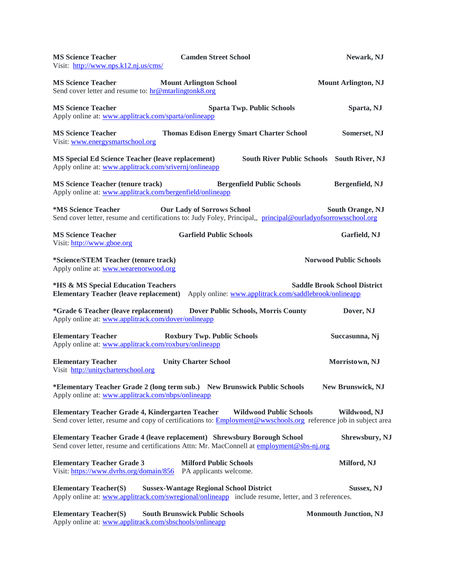| <b>MS Science Teacher</b><br>Visit: http://www.nps.k12.nj.us/cms/                                                  | <b>Camden Street School</b>                                                                                                                                                   | Newark, NJ                          |
|--------------------------------------------------------------------------------------------------------------------|-------------------------------------------------------------------------------------------------------------------------------------------------------------------------------|-------------------------------------|
| <b>MS Science Teacher</b><br>Send cover letter and resume to: hr@mtarlingtonk8.org                                 | <b>Mount Arlington School</b>                                                                                                                                                 | <b>Mount Arlington, NJ</b>          |
| <b>MS Science Teacher</b><br>Apply online at: www.applitrack.com/sparta/onlineapp                                  | <b>Sparta Twp. Public Schools</b>                                                                                                                                             | Sparta, NJ                          |
| <b>MS Science Teacher</b><br>Visit: www.energysmartschool.org                                                      | <b>Thomas Edison Energy Smart Charter School</b>                                                                                                                              | Somerset, NJ                        |
| <b>MS Special Ed Science Teacher (leave replacement)</b><br>Apply online at: www.applitrack.com/srivernj/onlineapp | <b>South River Public Schools</b>                                                                                                                                             | <b>South River, NJ</b>              |
| <b>MS Science Teacher (tenure track)</b><br>Apply online at: www.applitrack.com/bergenfield/onlineapp              | <b>Bergenfield Public Schools</b>                                                                                                                                             | Bergenfield, NJ                     |
| *MS Science Teacher                                                                                                | <b>Our Lady of Sorrows School</b><br>Send cover letter, resume and certifications to: Judy Foley, Principal, principal@ourladyofsorrowsschool.org                             | <b>South Orange, NJ</b>             |
| <b>MS Science Teacher</b><br>Visit: http://www.gboe.org                                                            | <b>Garfield Public Schools</b>                                                                                                                                                | Garfield, NJ                        |
| *Science/STEM Teacher (tenure track)<br>Apply online at: www.wearenorwood.org                                      |                                                                                                                                                                               | <b>Norwood Public Schools</b>       |
| *HS & MS Special Education Teachers<br><b>Elementary Teacher (leave replacement)</b>                               | Apply online: www.applitrack.com/saddlebrook/onlineapp                                                                                                                        | <b>Saddle Brook School District</b> |
| <i>*Grade 6 Teacher (leave replacement)</i><br>Apply online at: www.applitrack.com/dover/onlineapp                 | <b>Dover Public Schools, Morris County</b>                                                                                                                                    | Dover, NJ                           |
| <b>Elementary Teacher</b><br>Apply online at: www.applitrack.com/roxbury/onlineapp                                 | <b>Roxbury Twp. Public Schools</b>                                                                                                                                            | Succasunna, Nj                      |
| <b>Elementary Teacher</b><br>Visit http://unitycharterschool.org                                                   | <b>Unity Charter School</b>                                                                                                                                                   | Morristown, NJ                      |
| Apply online at: www.applitrack.com/nbps/onlineapp                                                                 | *Elementary Teacher Grade 2 (long term sub.) New Brunswick Public Schools                                                                                                     | New Brunswick, NJ                   |
| <b>Elementary Teacher Grade 4, Kindergarten Teacher</b>                                                            | <b>Wildwood Public Schools</b><br>Send cover letter, resume and copy of certifications to: <b>Employment@wwschools.org</b> reference job in subject area                      | Wildwood, NJ                        |
|                                                                                                                    | <b>Elementary Teacher Grade 4 (leave replacement) Shrewsbury Borough School</b><br>Send cover letter, resume and certifications Attn: Mr. MacConnell at employment@sbs-nj.org | <b>Shrewsbury, NJ</b>               |
| <b>Elementary Teacher Grade 3</b><br>Visit: https://www.dvrhs.org/domain/856                                       | <b>Milford Public Schools</b><br>PA applicants welcome.                                                                                                                       | Milford, NJ                         |
| <b>Elementary Teacher(S)</b>                                                                                       | <b>Sussex-Wantage Regional School District</b><br>Apply online at: www.applitrack.com/swregional/onlineapp include resume, letter, and 3 references.                          | <b>Sussex, NJ</b>                   |
| <b>Elementary Teacher(S)</b><br>Apply online at: www.applitrack.com/sbschools/onlineapp                            | <b>South Brunswick Public Schools</b>                                                                                                                                         | <b>Monmouth Junction, NJ</b>        |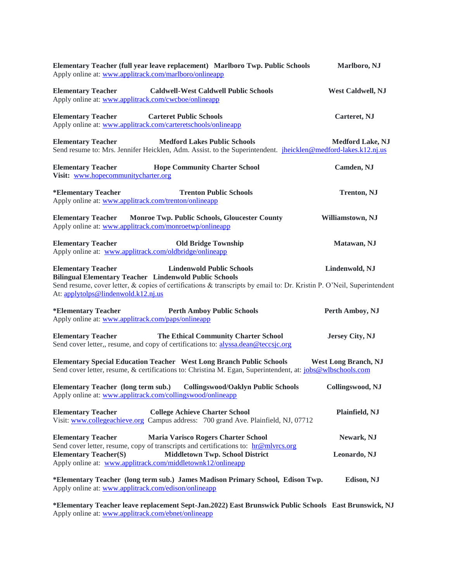| Elementary Teacher (full year leave replacement) Marlboro Twp. Public Schools<br>Apply online at: www.applitrack.com/marlboro/onlineapp                                                                                                                                                         | Marlboro, NJ                |
|-------------------------------------------------------------------------------------------------------------------------------------------------------------------------------------------------------------------------------------------------------------------------------------------------|-----------------------------|
| <b>Elementary Teacher</b><br><b>Caldwell-West Caldwell Public Schools</b><br>Apply online at: www.applitrack.com/cwcboe/onlineapp                                                                                                                                                               | West Caldwell, NJ           |
| <b>Elementary Teacher</b><br><b>Carteret Public Schools</b><br>Apply online at: www.applitrack.com/carteretschools/onlineapp                                                                                                                                                                    | Carteret, NJ                |
| <b>Medford Lakes Public Schools</b><br><b>Elementary Teacher</b><br>Send resume to: Mrs. Jennifer Heicklen, Adm. Assist. to the Superintendent. jheicklen@medford-lakes.k12.nj.us                                                                                                               | <b>Medford Lake, NJ</b>     |
| <b>Elementary Teacher</b><br><b>Hope Community Charter School</b><br>Visit: www.hopecommunitycharter.org                                                                                                                                                                                        | Camden, NJ                  |
| <b>Trenton Public Schools</b><br>*Elementary Teacher<br>Apply online at: www.applitrack.com/trenton/onlineapp                                                                                                                                                                                   | <b>Trenton, NJ</b>          |
| <b>Elementary Teacher</b><br><b>Monroe Twp. Public Schools, Gloucester County</b><br>Apply online at: www.applitrack.com/monroetwp/onlineapp                                                                                                                                                    | Williamstown, NJ            |
| <b>Elementary Teacher</b><br><b>Old Bridge Township</b><br>Apply online at: www.applitrack.com/oldbridge/onlineapp                                                                                                                                                                              | Matawan, NJ                 |
| <b>Elementary Teacher</b><br><b>Lindenwold Public Schools</b><br><b>Bilingual Elementary Teacher Lindenwold Public Schools</b><br>Send resume, cover letter, & copies of certifications & transcripts by email to: Dr. Kristin P. O'Neil, Superintendent<br>At: applytolps@lindenwold.k12.nj.us | Lindenwold, NJ              |
| *Elementary Teacher<br><b>Perth Amboy Public Schools</b><br>Apply online at: www.applitrack.com/paps/onlineapp                                                                                                                                                                                  | Perth Amboy, NJ             |
| <b>Elementary Teacher</b><br><b>The Ethical Community Charter School</b><br>Send cover letter,, resume, and copy of certifications to: alyssa.dean@teccsic.org                                                                                                                                  | Jersey City, NJ             |
| <b>Elementary Special Education Teacher West Long Branch Public Schools</b><br>Send cover letter, resume, & certifications to: Christina M. Egan, Superintendent, at: jobs@wlbschools.com                                                                                                       | <b>West Long Branch, NJ</b> |
| <b>Collingswood/Oaklyn Public Schools</b><br><b>Elementary Teacher (long term sub.)</b><br>Apply online at: www.applitrack.com/collingswood/onlineapp                                                                                                                                           | Collingswood, NJ            |
| <b>Elementary Teacher</b><br><b>College Achieve Charter School</b><br>Visit: www.collegeachieve.org Campus address: 700 grand Ave. Plainfield, NJ, 07712                                                                                                                                        | Plainfield, NJ              |
| <b>Elementary Teacher</b><br><b>Maria Varisco Rogers Charter School</b>                                                                                                                                                                                                                         | Newark, NJ                  |
| Send cover letter, resume, copy of transcripts and certifications to: hr@mlvrcs.org<br><b>Elementary Teacher(S)</b><br><b>Middletown Twp. School District</b><br>Apply online at: www.applitrack.com/middletownk12/onlineapp                                                                    | Leonardo, NJ                |
| *Elementary Teacher (long term sub.) James Madison Primary School, Edison Twp.<br>Apply online at: www.applitrack.com/edison/onlineapp                                                                                                                                                          | Edison, NJ                  |

**\*Elementary Teacher leave replacement Sept-Jan.2022) East Brunswick Public Schools East Brunswick, NJ** Apply online at: [www.applitrack.com/ebnet/onlineapp](http://www.applitrack.com/ebnet/onlineapp)